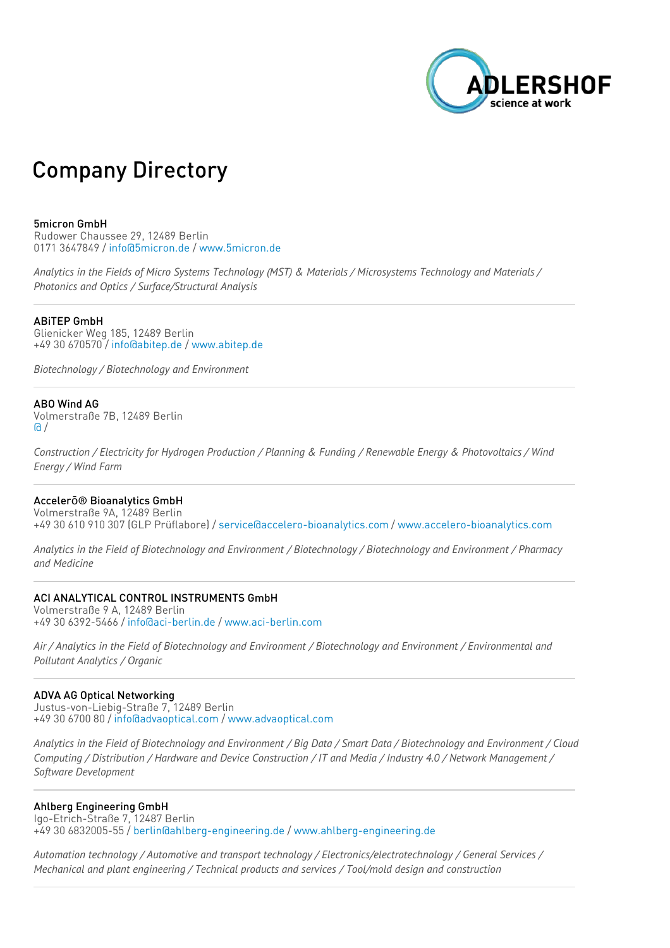

# Company Directory

## 5micron GmbH

Rudower Chaussee 29, 12489 Berlin 0171 3647849 / [info@5micron.de](mailto:info@5micron.de) / [www.5micron.de](http://www.5micron.de)

Analytics in the Fields of Micro Systems Technology (MST) & Materials / Microsystems Technology and Materials / *Photonics and Optics / Surface/Structural Analysis*

#### ABiTEP GmbH

Glienicker Weg 185, 12489 Berlin +49 30 670570 / [info@abitep.de](mailto:info@abitep.de) / [www.abitep.de](http://www.abitep.de)

*Biotechnology / Biotechnology and Environment*

## ABO Wind AG

Volmerstraße 7B, 12489 Berlin  $\Omega$ 

Construction / Electricity for Hydrogen Production / Planning & Funding / Renewable Energy & Photovoltaics / Wind *Energy / Wind Farm*

## Accelerō® Bioanalytics GmbH

Volmerstraße 9A, 12489 Berlin +49 30 610 910 307 (GLP Prüflabore) / [service@accelero-bioanalytics.com](mailto:service@accelero-bioanalytics.com) / [www.accelero-bioanalytics.com](http://www.accelero-bioanalytics.com)

Analytics in the Field of Biotechnology and Environment / Biotechnology / Biotechnology and Environment / Pharmacy *and Medicine*

# ACI ANALYTICAL CONTROL INSTRUMENTS GmbH

Volmerstraße 9 A, 12489 Berlin +49 30 6392-5466 / [info@aci-berlin.de](mailto:info@aci-berlin.de) / [www.aci-berlin.com](http://www.aci-berlin.com)

Air / Analytics in the Field of Biotechnology and Environment / Biotechnology and Environment / Environmental and *Pollutant Analytics / Organic*

#### ADVA AG Optical Networking

Justus-von-Liebig-Straße 7, 12489 Berlin +49 30 6700 80 / [info@advaoptical.com](mailto:info@advaoptical.com) / [www.advaoptical.com](http://www.advaoptical.com)

Analytics in the Field of Biotechnology and Environment / Big Data / Smart Data / Biotechnology and Environment / Cloud Computing / Distribution / Hardware and Device Construction / IT and Media / Industry 4.0 / Network Management / *Software Development*

## Ahlberg Engineering GmbH

Igo-Etrich-Straße 7, 12487 Berlin +49 30 6832005-55 / [berlin@ahlberg-engineering.de](mailto:berlin@ahlberg-engineering.de) / [www.ahlberg-engineering.de](http://www.ahlberg-engineering.de)

*Automation technology / Automotive and transport technology / Electronics/electrotechnology / General Services / Mechanical and plant engineering / Technical products and services / Tool/mold design and construction*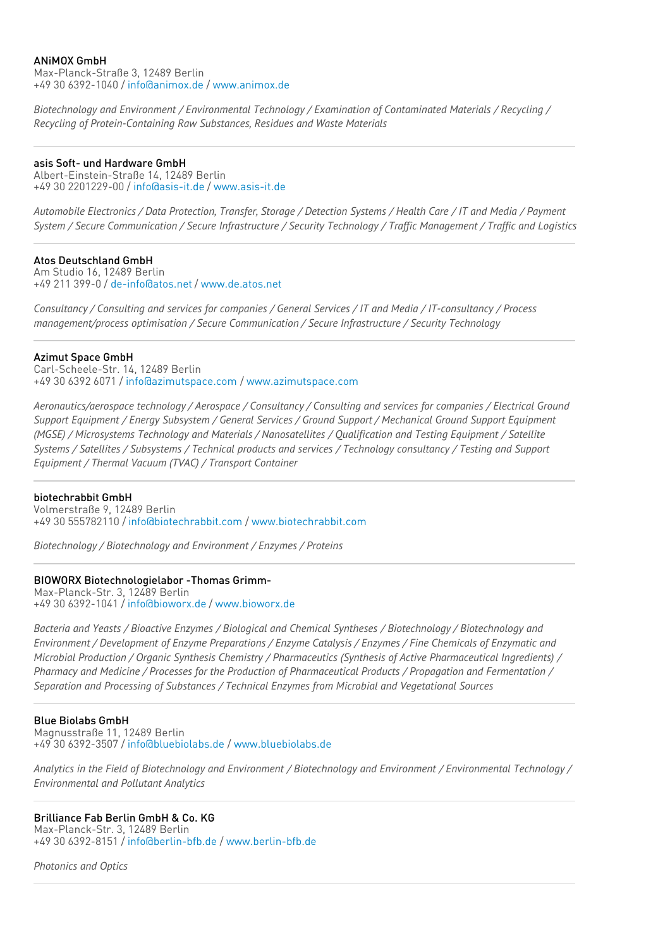## ANiMOX GmbH

Max-Planck-Straße 3, 12489 Berlin +49 30 6392-1040 / [info@animox.de](mailto:info@animox.de) / [www.animox.de](http://www.animox.de)

*Biotechnology and Environment / Environmental Technology / Examination of Contaminated Materials / Recycling / Recycling of Protein-Containing Raw Substances, Residues and Waste Materials*

## asis Soft- und Hardware GmbH

Albert-Einstein-Straße 14, 12489 Berlin +49 30 2201229-00 / [info@asis-it.de](mailto:info@asis-it.de) / [www.asis-it.de](http://www.asis-it.de)

Automobile Electronics / Data Protection, Transfer, Storage / Detection Systems / Health Care / IT and Media / Payment System / Secure Communication / Secure Infrastructure / Security Technology / Traffic Management / Traffic and Logistics

## Atos Deutschland GmbH

Am Studio 16, 12489 Berlin +49 211 399-0 / [de-info@atos.net](mailto:de-info@atos.net) / [www.de.atos.net](http://www.de.atos.net)

Consultancy / Consulting and services for companies / General Services / IT and Media / IT-consultancy / Process *management/process optimisation / Secure Communication / Secure Infrastructure / Security Technology*

Azimut Space GmbH

Carl-Scheele-Str. 14, 12489 Berlin +49 30 6392 6071 / [info@azimutspace.com](mailto:info@azimutspace.com) / [www.azimutspace.com](http://www.azimutspace.com)

*Aeronautics/aerospace technology / Aerospace / Consultancy / Consulting and services for companies / Electrical Ground Support Equipment / Energy Subsystem / General Services / Ground Support / Mechanical Ground Support Equipment (MGSE) / Microsystems Technology and Materials / Nanosatellites / Qualification and Testing Equipment / Satellite* Systems / Satellites / Subsystems / Technical products and services / Technology consultancy / Testing and Support *Equipment / Thermal Vacuum (TVAC) / Transport Container*

## biotechrabbit GmbH

Volmerstraße 9, 12489 Berlin +49 30 555782110 / [info@biotechrabbit.com](mailto:info@biotechrabbit.com) / [www.biotechrabbit.com](http://www.biotechrabbit.com)

*Biotechnology / Biotechnology and Environment / Enzymes / Proteins*

## BIOWORX Biotechnologielabor -Thomas Grimm-

Max-Planck-Str. 3, 12489 Berlin +49 30 6392-1041 / [info@bioworx.de](mailto:info@bioworx.de) / [www.bioworx.de](http://www.bioworx.de)

*Bacteria and Yeasts / Bioactive Enzymes / Biological and Chemical Syntheses / Biotechnology / Biotechnology and* Environment / Development of Enzyme Preparations / Enzyme Catalysis / Enzymes / Fine Chemicals of Enzymatic and *Microbial Production / Organic Synthesis Chemistry / Pharmaceutics (Synthesis of Active Pharmaceutical Ingredients) / Pharmacy and Medicine / Processes for the Production of Pharmaceutical Products / Propagation and Fermentation / Separation and Processing of Substances / Technical Enzymes from Microbial and Vegetational Sources*

## Blue Biolabs GmbH

Magnusstraße 11, 12489 Berlin +49 30 6392-3507 / [info@bluebiolabs.de](mailto:info@bluebiolabs.de) / [www.bluebiolabs.de](http://www.bluebiolabs.de)

Analytics in the Field of Biotechnology and Environment / Biotechnology and Environment / Environmental Technoloav / *Environmental and Pollutant Analytics*

# Brilliance Fab Berlin GmbH & Co. KG

Max-Planck-Str. 3, 12489 Berlin +49 30 6392-8151 / [info@berlin-bfb.de](mailto:info@berlin-bfb.de) / [www.berlin-bfb.de](http://www.berlin-bfb.de)

*Photonics and Optics*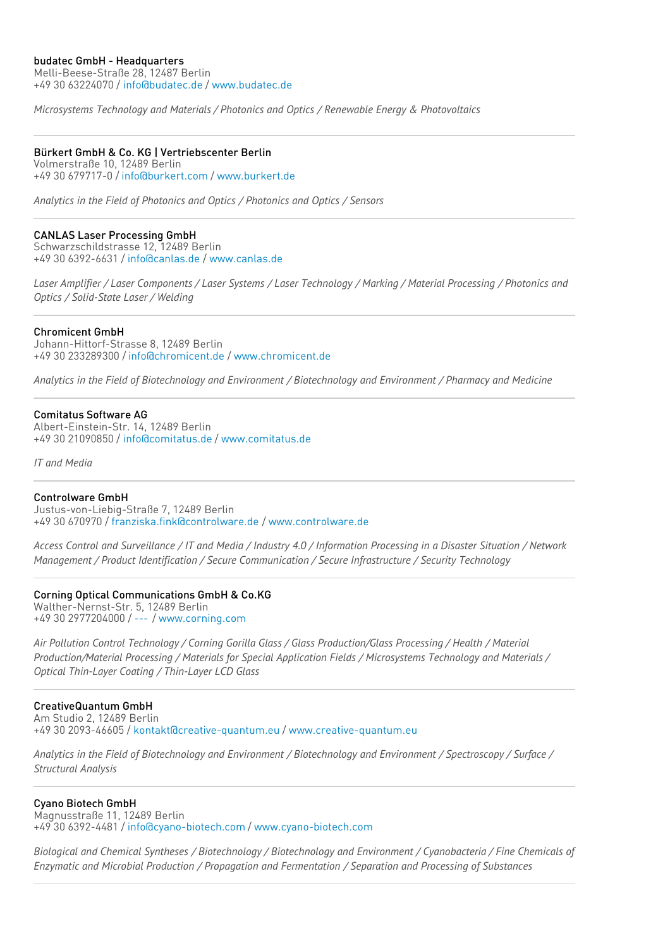#### budatec GmbH - Headquarters

Melli-Beese-Straße 28, 12487 Berlin +49 30 63224070 / [info@budatec.de](mailto:info@budatec.de) / [www.budatec.de](http://www.budatec.de)

*Microsystems Technology and Materials / Photonics and Optics / Renewable Energy & Photovoltaics*

## Bürkert GmbH & Co. KG | Vertriebscenter Berlin

Volmerstraße 10, 12489 Berlin +49 30 679717-0 / [info@burkert.com](mailto:info@burkert.com) / [www.burkert.de](http://www.burkert.de)

*Analytics in the Field of Photonics and Optics / Photonics and Optics / Sensors*

## CANLAS Laser Processing GmbH

Schwarzschildstrasse 12, 12489 Berlin +49 30 6392-6631 / [info@canlas.de](mailto:info@canlas.de) / [www.canlas.de](http://www.canlas.de)

Laser Amplifier / Laser Components / Laser Systems / Laser Technology / Marking / Material Processing / Photonics and *Optics / Solid-State Laser / Welding*

#### Chromicent GmbH

Johann-Hittorf-Strasse 8, 12489 Berlin +49 30 233289300 / [info@chromicent.de](mailto:info@chromicent.de) / [www.chromicent.de](http://www.chromicent.de)

*Analytics in the Field of Biotechnology and Environment / Biotechnology and Environment / Pharmacy and Medicine*

## Comitatus Software AG

Albert-Einstein-Str. 14, 12489 Berlin +49 30 21090850 / [info@comitatus.de](mailto:info@comitatus.de) / [www.comitatus.de](http://www.comitatus.de)

*IT and Media*

#### Controlware GmbH

Justus-von-Liebig-Straße 7, 12489 Berlin +49 30 670970 / [franziska.fink@controlware.de](mailto:franziska.fink@controlware.de) / [www.controlware.de](http://www.controlware.de)

Access Control and Surveillance / IT and Media / Industry 4.0 / Information Processing in a Disaster Situation / Network *Management / Product Identification / Secure Communication / Secure Infrastructure / Security Technology*

## Corning Optical Communications GmbH & Co.KG

Walther-Nernst-Str. 5, 12489 Berlin +49 30 2977204000 / [---](mailto:---) / [www.corning.com](http://www.corning.com)

*Air Pollution Control Technology / Corning Gorilla Glass / Glass Production/Glass Processing / Health / Material Production/Material Processing / Materials for Special Application Fields / Microsystems Technology and Materials / Optical Thin-Layer Coating / Thin-Layer LCD Glass*

#### CreativeQuantum GmbH

Am Studio 2, 12489 Berlin +49 30 2093-46605 / [kontakt@creative-quantum.eu](mailto:kontakt@creative-quantum.eu) / [www.creative-quantum.eu](http://www.creative-quantum.eu)

Analytics in the Field of Biotechnology and Environment / Biotechnology and Environment / Spectroscopy / Surface / *Structural Analysis*

## Cyano Biotech GmbH

Magnusstraße 11, 12489 Berlin +49 30 6392-4481 / [info@cyano-biotech.com](mailto:info@cyano-biotech.com) / [www.cyano-biotech.com](http://www.cyano-biotech.com)

Biological and Chemical Syntheses / Biotechnology / Biotechnology and Environment / Cyanobacteria / Fine Chemicals of *Enzymatic and Microbial Production / Propagation and Fermentation / Separation and Processing of Substances*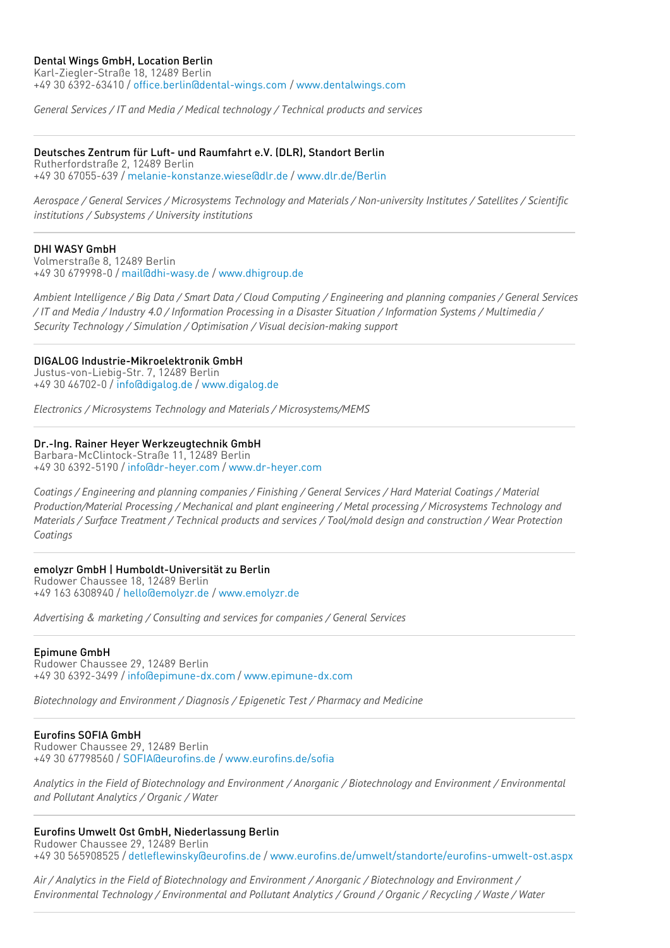## Dental Wings GmbH, Location Berlin

Karl-Ziegler-Straße 18, 12489 Berlin +49 30 6392-63410 / [office.berlin@dental-wings.com](mailto:office.berlin@dental-wings.com) / [www.dentalwings.com](http://www.dentalwings.com)

*General Services / IT and Media / Medical technology / Technical products and services*

#### Deutsches Zentrum für Luft- und Raumfahrt e.V. (DLR), Standort Berlin

Rutherfordstraße 2, 12489 Berlin +49 30 67055-639 / [melanie-konstanze.wiese@dlr.de](mailto:melanie-konstanze.wiese@dlr.de) / [www.dlr.de/Berlin](http://www.dlr.de/Berlin)

Aerospace / General Services / Microsystems Technology and Materials / Non-university Institutes / Satellites / Scientific *institutions / Subsystems / University institutions*

#### DHI WASY GmbH

Volmerstraße 8, 12489 Berlin +49 30 679998-0 / [mail@dhi-wasy.de](mailto:mail@dhi-wasy.de) / [www.dhigroup.de](http://www.dhigroup.de)

Ambient Intelligence / Big Data / Smart Data / Cloud Computing / Engineering and planning companies / General Services / IT and Media / Industry 4.0 / Information Processing in a Disaster Situation / Information Systems / Multimedia / *Security Technology / Simulation / Optimisation / Visual decision-making support*

#### DIGALOG Industrie-Mikroelektronik GmbH

Justus-von-Liebig-Str. 7, 12489 Berlin +49 30 46702-0 / [info@digalog.de](mailto:info@digalog.de) / [www.digalog.de](http://www.digalog.de)

*Electronics / Microsystems Technology and Materials / Microsystems/MEMS*

#### Dr.-Ing. Rainer Heyer Werkzeugtechnik GmbH

Barbara-McClintock-Straße 11, 12489 Berlin +49 30 6392-5190 / [info@dr-heyer.com](mailto:info@dr-heyer.com) / [www.dr-heyer.com](http://www.dr-heyer.com)

Coatings / Engineering and planning companies / Finishing / General Services / Hard Material Coatings / Material *Production/Material Processing / Mechanical and plant engineering / Metal processing / Microsystems Technology and* Materials / Surface Treatment / Technical products and services / Tool/mold design and construction / Wear Protection *Coatings*

#### emolyzr GmbH | Humboldt-Universität zu Berlin

Rudower Chaussee 18, 12489 Berlin +49 163 6308940 / [hello@emolyzr.de](mailto:hello@emolyzr.de) / [www.emolyzr.de](http://www.emolyzr.de)

*Advertising & marketing / Consulting and services for companies / General Services*

#### Epimune GmbH

Rudower Chaussee 29, 12489 Berlin +49 30 6392-3499 / [info@epimune-dx.com](mailto:info@epimune-dx.com) / [www.epimune-dx.com](http://www.epimune-dx.com)

*Biotechnology and Environment / Diagnosis / Epigenetic Test / Pharmacy and Medicine*

#### Eurofins SOFIA GmbH

Rudower Chaussee 29, 12489 Berlin +49 30 67798560 / [SOFIA@eurofins.de](mailto:SOFIA@eurofins.de) / [www.eurofins.de/sofia](http://www.eurofins.de/sofia)

Analytics in the Field of Biotechnoloay and Environment / Anoraanic / Biotechnoloay and Environment / Environmental *and Pollutant Analytics / Organic / Water*

#### Eurofins Umwelt Ost GmbH, Niederlassung Berlin Rudower Chaussee 29, 12489 Berlin

+49 30 565908525 / [detleflewinsky@eurofins.de](mailto:detleflewinsky@eurofins.de) / [www.eurofins.de/umwelt/standorte/eurofins-umwelt-ost.aspx](http://www.eurofins.de/umwelt/standorte/eurofins-umwelt-ost.aspx)

Air / Analytics in the Field of Biotechnology and Environment / Anorganic / Biotechnology and Environment / Environmental Technology / Environmental and Pollutant Analytics / Ground / Organic / Recycling / Waste / Water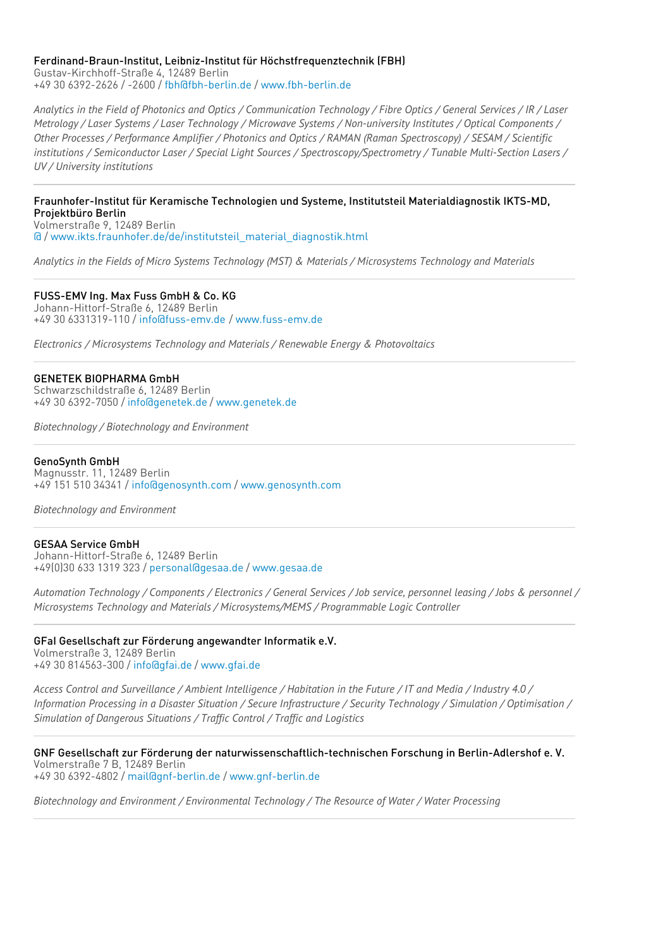# Ferdinand-Braun-Institut, Leibniz-Institut für Höchstfrequenztechnik (FBH)

Gustav-Kirchhoff-Straße 4, 12489 Berlin +49 30 6392-2626 / -2600 / [fbh@fbh-berlin.de](mailto:fbh@fbh-berlin.de) / [www.fbh-berlin.de](http://www.fbh-berlin.de)

Analytics in the Field of Photonics and Optics / Communication Technology / Fibre Optics / General Services / IR / Laser Metrology / Laser Systems / Laser Technology / Microwave Systems / Non-university Institutes / Optical Components / Other Processes / Performance Amplifier / Photonics and Optics / RAMAN (Raman Spectroscopy) / SESAM / Scientific *institutions / Semiconductor Laser / Special Light Sources / Spectroscopy/Spectrometry / Tunable Multi-Section Lasers / UV / University institutions*

Fraunhofer-Institut für Keramische Technologien und Systeme, Institutsteil Materialdiagnostik IKTS-MD, Projektbüro Berlin

Volmerstraße 9, 12489 Berlin [@](mailto:@) / [www.ikts.fraunhofer.de/de/institutsteil\\_material\\_diagnostik.html](http://www.ikts.fraunhofer.de/de/institutsteil_material_diagnostik.html)

*Analytics in the Fields of Micro Systems Technology (MST) & Materials / Microsystems Technology and Materials*

FUSS-EMV Ing. Max Fuss GmbH & Co. KG Johann-Hittorf-Straße 6, 12489 Berlin +49 30 6331319-110 / [info@fuss-emv.de](mailto:info@fuss-emv.de) / [www.fuss-emv.de](http://www.fuss-emv.de)

*Electronics / Microsystems Technology and Materials / Renewable Energy & Photovoltaics*

GENETEK BIOPHARMA GmbH Schwarzschildstraße 6, 12489 Berlin +49 30 6392-7050 / [info@genetek.de](mailto:info@genetek.de) / [www.genetek.de](http://www.genetek.de)

*Biotechnology / Biotechnology and Environment*

GenoSynth GmbH Magnusstr. 11, 12489 Berlin

+49 151 510 34341 / [info@genosynth.com](mailto:info@genosynth.com) / [www.genosynth.com](http://www.genosynth.com)

*Biotechnology and Environment*

## GESAA Service GmbH

Johann-Hittorf-Straße 6, 12489 Berlin +49(0)30 633 1319 323 / [personal@gesaa.de](mailto:personal@gesaa.de) / [www.gesaa.de](http://www.gesaa.de)

Automation Technology / Components / Electronics / General Services / Job service, personnel leasing / Jobs & personnel / *Microsystems Technology and Materials / Microsystems/MEMS / Programmable Logic Controller*

GFaI Gesellschaft zur Förderung angewandter Informatik e.V. Volmerstraße 3, 12489 Berlin

+49 30 814563-300 / [info@gfai.de](mailto:info@gfai.de) / [www.gfai.de](http://www.gfai.de)

Access Control and Surveillance / Ambient Intelligence / Habitation in the Future / IT and Media / Industry 4.0 / Information Processing in a Disaster Situation / Secure Infrastructure / Security Technology / Simulation / Optimisation / *Simulation of Dangerous Situations / Traffic Control / Traffic and Logistics*

GNF Gesellschaft zur Förderung der naturwissenschaftlich-technischen Forschung in Berlin-Adlershof e. V. Volmerstraße 7 B, 12489 Berlin +49 30 6392-4802 / [mail@gnf-berlin.de](mailto:mail@gnf-berlin.de) / [www.gnf-berlin.de](http://www.gnf-berlin.de)

*Biotechnology and Environment / Environmental Technology / The Resource of Water / Water Processing*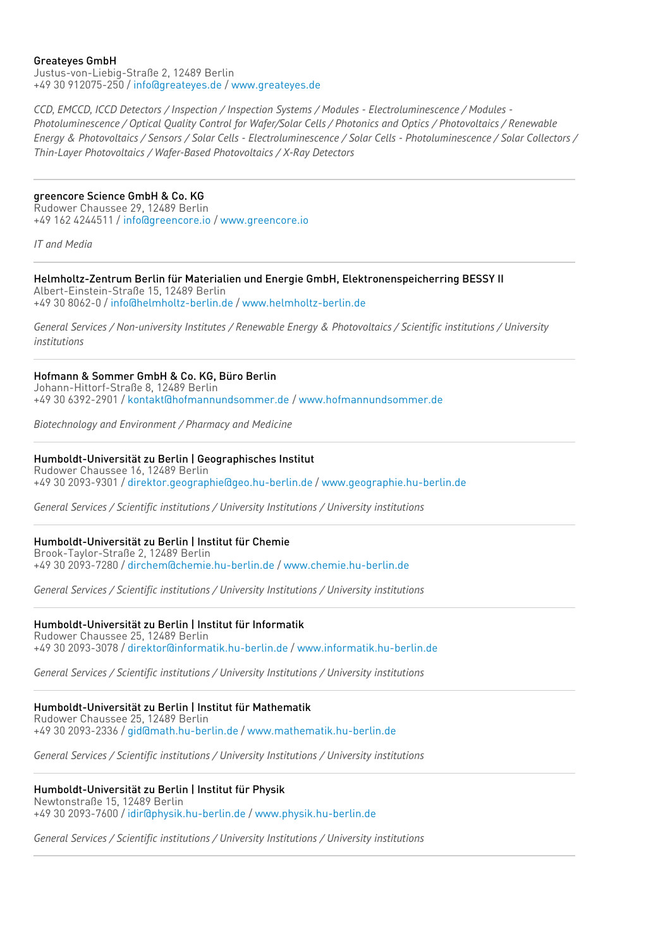#### Greateyes GmbH

Justus-von-Liebig-Straße 2, 12489 Berlin +49 30 912075-250 / [info@greateyes.de](mailto:info@greateyes.de) / [www.greateyes.de](http://www.greateyes.de)

*CCD, EMCCD, ICCD Detectors / Inspection / Inspection Systems / Modules - Electroluminescence / Modules -* Photoluminescence / Optical Quality Control for Wafer/Solar Cells / Photonics and Optics / Photovoltaics / Renewable Energy & Photovoltaics / Sensors / Solar Cells - Electroluminescence / Solar Cells - Photoluminescence / Solar Collectors / *Thin-Layer Photovoltaics / Wafer-Based Photovoltaics / X-Ray Detectors*

# greencore Science GmbH & Co. KG

Rudower Chaussee 29, 12489 Berlin +49 162 4244511 / [info@greencore.io](mailto:info@greencore.io) / [www.greencore.io](http://www.greencore.io)

*IT and Media*

## Helmholtz-Zentrum Berlin für Materialien und Energie GmbH, Elektronenspeicherring BESSY II

Albert-Einstein-Straße 15, 12489 Berlin +49 30 8062-0 / [info@helmholtz-berlin.de](mailto:info@helmholtz-berlin.de) / [www.helmholtz-berlin.de](http://www.helmholtz-berlin.de)

*General Services / Non-university Institutes / Renewable Energy & Photovoltaics / Scientific institutions / University institutions*

## Hofmann & Sommer GmbH & Co. KG, Büro Berlin

Johann-Hittorf-Straße 8, 12489 Berlin +49 30 6392-2901 / [kontakt@hofmannundsommer.de](mailto:kontakt@hofmannundsommer.de) / [www.hofmannundsommer.de](http://www.hofmannundsommer.de)

*Biotechnology and Environment / Pharmacy and Medicine*

## Humboldt-Universität zu Berlin | Geographisches Institut

Rudower Chaussee 16, 12489 Berlin +49 30 2093-9301 / [direktor.geographie@geo.hu-berlin.de](mailto:direktor.geographie@geo.hu-berlin.de) / [www.geographie.hu-berlin.de](http://www.geographie.hu-berlin.de)

*General Services / Scientific institutions / University Institutions / University institutions*

# Humboldt-Universität zu Berlin | Institut für Chemie

Brook-Taylor-Straße 2, 12489 Berlin +49 30 2093-7280 / [dirchem@chemie.hu-berlin.de](mailto:dirchem@chemie.hu-berlin.de) / [www.chemie.hu-berlin.de](http://www.chemie.hu-berlin.de)

*General Services / Scientific institutions / University Institutions / University institutions*

## Humboldt-Universität zu Berlin | Institut für Informatik

Rudower Chaussee 25, 12489 Berlin +49 30 2093-3078 / [direktor@informatik.hu-berlin.de](mailto:direktor@informatik.hu-berlin.de) / [www.informatik.hu-berlin.de](http://www.informatik.hu-berlin.de)

*General Services / Scientific institutions / University Institutions / University institutions*

# Humboldt-Universität zu Berlin | Institut für Mathematik

Rudower Chaussee 25, 12489 Berlin +49 30 2093-2336 / [gid@math.hu-berlin.de](mailto:gid@math.hu-berlin.de) / [www.mathematik.hu-berlin.de](http://www.mathematik.hu-berlin.de)

*General Services / Scientific institutions / University Institutions / University institutions*

## Humboldt-Universität zu Berlin | Institut für Physik

Newtonstraße 15, 12489 Berlin +49 30 2093-7600 / [idir@physik.hu-berlin.de](mailto:idir@physik.hu-berlin.de) / [www.physik.hu-berlin.de](http://www.physik.hu-berlin.de)

*General Services / Scientific institutions / University Institutions / University institutions*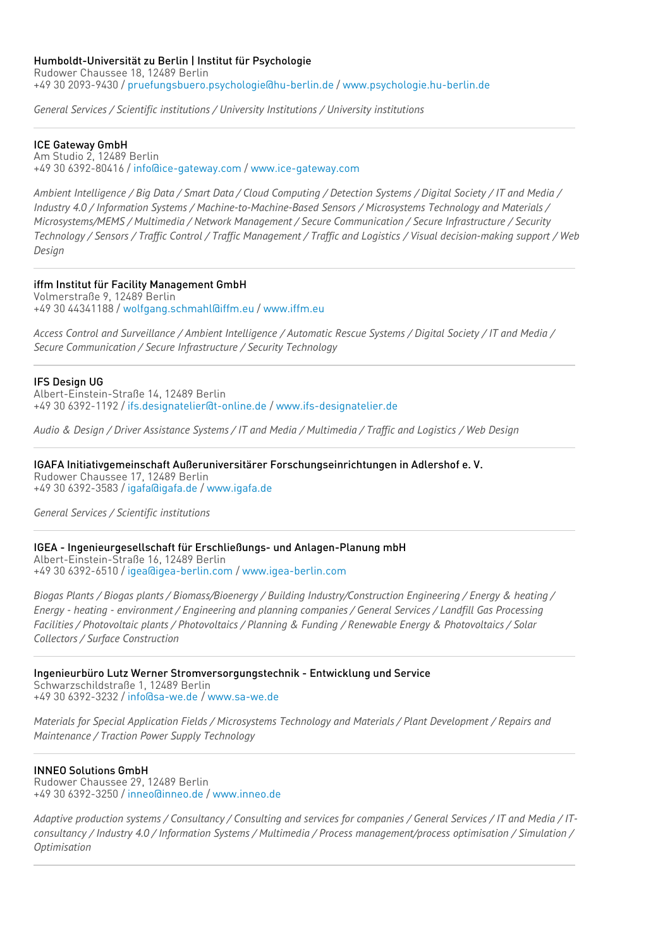*General Services / Scientific institutions / University Institutions / University institutions*

## ICE Gateway GmbH

Am Studio 2, 12489 Berlin +49 30 6392-80416 / [info@ice-gateway.com](mailto:info@ice-gateway.com) / [www.ice-gateway.com](http://www.ice-gateway.com)

Ambient Intelligence / Big Data / Smart Data / Cloud Computing / Detection Systems / Digital Society / IT and Media / *Industry 4.0 / Information Systems / Machine-to-Machine-Based Sensors / Microsystems Technology and Materials / Microsystems/MEMS / Multimedia / Network Management / Secure Communication / Secure Infrastructure / Security* Technology / Sensors / Traffic Control / Traffic Management / Traffic and Logistics / Visual decision-making support / Web *Design*

iffm Institut für Facility Management GmbH

Volmerstraße 9, 12489 Berlin +49 30 44341188 / [wolfgang.schmahl@iffm.eu](mailto:wolfgang.schmahl@iffm.eu) / [www.iffm.eu](http://www.iffm.eu)

Access Control and Surveillance / Ambient Intelligence / Automatic Rescue Systems / Digital Society / IT and Media / *Secure Communication / Secure Infrastructure / Security Technology*

## IFS Design UG

Albert-Einstein-Straße 14, 12489 Berlin +49 30 6392-1192 / [ifs.designatelier@t-online.de](mailto:ifs.designatelier@t-online.de) / [www.ifs-designatelier.de](http://www.ifs-designatelier.de)

Audio & Design / Driver Assistance Systems / IT and Media / Multimedia / Traffic and Logistics / Web Design

IGAFA Initiativgemeinschaft Außeruniversitärer Forschungseinrichtungen in Adlershof e. V. Rudower Chaussee 17, 12489 Berlin +49 30 6392-3583 / [igafa@igafa.de](mailto:igafa@igafa.de) / [www.igafa.de](http://www.igafa.de)

*General Services / Scientific institutions*

IGEA - Ingenieurgesellschaft für Erschließungs- und Anlagen-Planung mbH Albert-Einstein-Straße 16, 12489 Berlin +49 30 6392-6510 / [igea@igea-berlin.com](mailto:igea@igea-berlin.com) / [www.igea-berlin.com](http://www.igea-berlin.com)

Biogas Plants / Biogas plants / Biomass/Bioenergy / Building Industry/Construction Engineering / Energy & heating / Energy - heating - environment / Engineering and planning companies / General Services / Landfill Gas Processing Facilities / Photovoltaic plants / Photovoltaics / Planning & Funding / Renewable Energy & Photovoltaics / Solar *Collectors / Surface Construction*

Ingenieurbüro Lutz Werner Stromversorgungstechnik - Entwicklung und Service Schwarzschildstraße 1, 12489 Berlin +49 30 6392-3232 / [info@sa-we.de](mailto:info@sa-we.de) / [www.sa-we.de](http://www.sa-we.de)

Materials for Special Application Fields / Microsystems Technology and Materials / Plant Development / Repairs and *Maintenance / Traction Power Supply Technology*

## INNEO Solutions GmbH

Rudower Chaussee 29, 12489 Berlin +49 30 6392-3250 / [inneo@inneo.de](mailto:inneo@inneo.de) / [www.inneo.de](http://www.inneo.de)

Adaptive production systems / Consultancy / Consulting and services for companies / General Services / IT and Media / ITconsultancy / Industry 4.0 / Information Systems / Multimedia / Process management/process optimisation / Simulation / *Optimisation*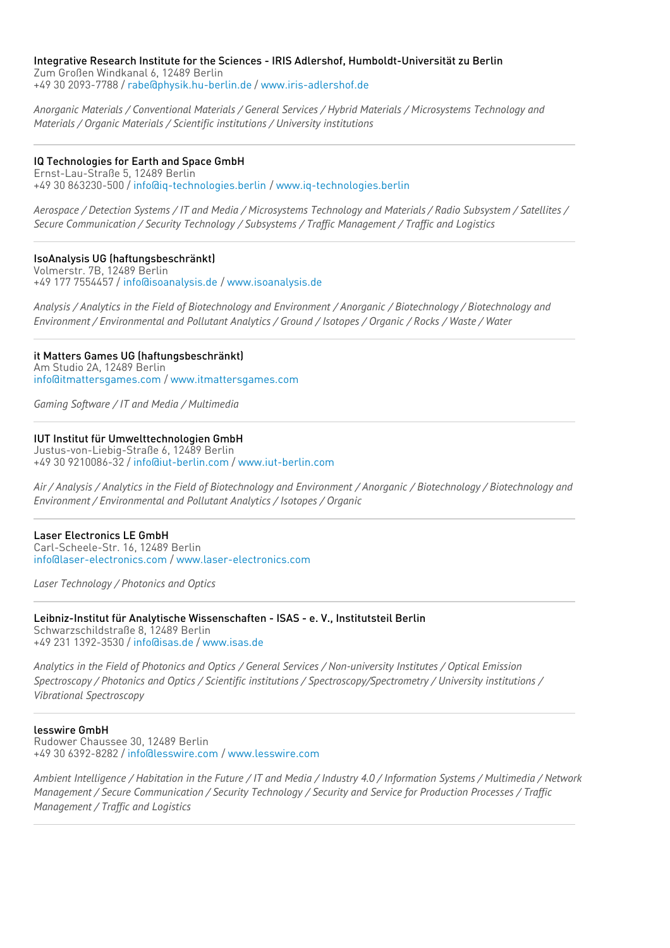#### Integrative Research Institute for the Sciences - IRIS Adlershof, Humboldt-Universität zu Berlin Zum Großen Windkanal 6, 12489 Berlin

+49 30 2093-7788 / [rabe@physik.hu-berlin.de](mailto:rabe@physik.hu-berlin.de) / [www.iris-adlershof.de](http://www.iris-adlershof.de)

*Anorganic Materials / Conventional Materials / General Services / Hybrid Materials / Microsystems Technology and Materials / Organic Materials / Scientific institutions / University institutions*

# IQ Technologies for Earth and Space GmbH

Ernst-Lau-Straße 5, 12489 Berlin +49 30 863230-500 / [info@iq-technologies.berlin](mailto:info@iq-technologies.berlin) / [www.iq-technologies.berlin](http://www.iq-technologies.berlin)

Aerospace / Detection Systems / IT and Media / Microsystems Technology and Materials / Radio Subsystem / Satellites / *Secure Communication / Security Technology / Subsystems / Traffic Management / Traffic and Logistics*

# IsoAnalysis UG (haftungsbeschränkt)

Volmerstr. 7B, 12489 Berlin +49 177 7554457 / [info@isoanalysis.de](mailto:info@isoanalysis.de) / [www.isoanalysis.de](http://www.isoanalysis.de)

Analysis / Analytics in the Field of Biotechnology and Environment / Anorganic / Biotechnology / Biotechnology and Environment / Environmental and Pollutant Analytics / Ground / Isotopes / Organic / Rocks / Waste / Water

#### it Matters Games UG (haftungsbeschränkt) Am Studio 2A, 12489 Berlin [info@itmattersgames.com](mailto:info@itmattersgames.com) / [www.itmattersgames.com](http://www.itmattersgames.com)

*Gaming Software / IT and Media / Multimedia*

## IUT Institut für Umwelttechnologien GmbH

Justus-von-Liebig-Straße 6, 12489 Berlin +49 30 9210086-32 / [info@iut-berlin.com](mailto:info@iut-berlin.com) / [www.iut-berlin.com](http://www.iut-berlin.com)

Air / Analysis / Analytics in the Field of Biotechnology and Environment / Anorganic / Biotechnology / Biotechnology and *Environment / Environmental and Pollutant Analytics / Isotopes / Organic*

## Laser Electronics LE GmbH

Carl-Scheele-Str. 16, 12489 Berlin [info@laser-electronics.com](mailto:info@laser-electronics.com) / [www.laser-electronics.com](http://www.laser-electronics.com)

*Laser Technology / Photonics and Optics*

#### Leibniz-Institut für Analytische Wissenschaften - ISAS - e. V., Institutsteil Berlin Schwarzschildstraße 8, 12489 Berlin

+49 231 1392-3530 / [info@isas.de](mailto:info@isas.de) / [www.isas.de](http://www.isas.de)

Analytics in the Field of Photonics and Optics / General Services / Non-university Institutes / Optical Emission *Spectroscopy / Photonics and Optics / Scientific institutions / Spectroscopy/Spectrometry / University institutions / Vibrational Spectroscopy*

## lesswire GmbH

Rudower Chaussee 30, 12489 Berlin +49 30 6392-8282 / [info@lesswire.com](mailto:info@lesswire.com) / [www.lesswire.com](http://www.lesswire.com)

Ambient Intelligence / Habitation in the Future / IT and Media / Industry 4.0 / Information Systems / Multimedia / Network Management / Secure Communication / Security Technology / Security and Service for Production Processes / Traffic *Management / Traffic and Logistics*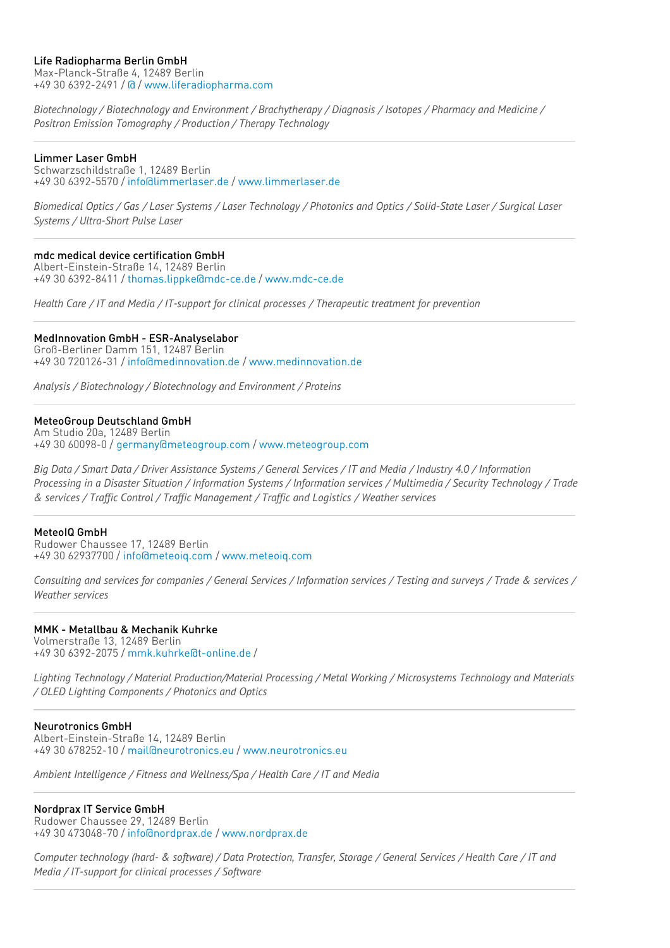## Life Radiopharma Berlin GmbH

Max-Planck-Straße 4, 12489 Berlin +49 30 6392-2491 / [@](mailto:@) / [www.liferadiopharma.com](http://www.liferadiopharma.com)

*Biotechnology / Biotechnology and Environment / Brachytherapy / Diagnosis / Isotopes / Pharmacy and Medicine / Positron Emission Tomography / Production / Therapy Technology*

## Limmer Laser GmbH

Schwarzschildstraße 1, 12489 Berlin +49 30 6392-5570 / [info@limmerlaser.de](mailto:info@limmerlaser.de) / [www.limmerlaser.de](http://www.limmerlaser.de)

Biomedical Optics / Gas / Laser Systems / Laser Technology / Photonics and Optics / Solid-State Laser / Surgical Laser *Systems / Ultra-Short Pulse Laser*

## mdc medical device certification GmbH

Albert-Einstein-Straße 14, 12489 Berlin +49 30 6392-8411 / [thomas.lippke@mdc-ce.de](mailto:thomas.lippke@mdc-ce.de) / [www.mdc-ce.de](http://www.mdc-ce.de)

*Health Care / IT and Media / IT-support for clinical processes / Therapeutic treatment for prevention*

## MedInnovation GmbH - ESR-Analyselabor

Groß-Berliner Damm 151, 12487 Berlin +49 30 720126-31 / [info@medinnovation.de](mailto:info@medinnovation.de) / [www.medinnovation.de](http://www.medinnovation.de)

*Analysis / Biotechnology / Biotechnology and Environment / Proteins*

## MeteoGroup Deutschland GmbH

Am Studio 20a, 12489 Berlin +49 30 60098-0 / [germany@meteogroup.com](mailto:germany@meteogroup.com) / [www.meteogroup.com](http://www.meteogroup.com)

Big Data / Smart Data / Driver Assistance Systems / General Services / IT and Media / Industry 4.0 / Information Processing in a Disaster Situation / Information Systems / Information services / Multimedia / Security Technology / Trade *& services / Traffic Control / Traffic Management / Traffic and Logistics / Weather services*

## MeteoIQ GmbH

Rudower Chaussee 17, 12489 Berlin +49 30 62937700 / [info@meteoiq.com](mailto:info@meteoiq.com) / [www.meteoiq.com](http://www.meteoiq.com)

Consulting and services for companies / General Services / Information services / Testing and surveys / Trade & services / *Weather services*

#### MMK - Metallbau & Mechanik Kuhrke Volmerstraße 13, 12489 Berlin

+49 30 6392-2075 / [mmk.kuhrke@t-online.de](mailto:mmk.kuhrke@t-online.de) /

*Lighting Technology / Material Production/Material Processing / Metal Working / Microsystems Technology and Materials / OLED Lighting Components / Photonics and Optics*

## Neurotronics GmbH

Albert-Einstein-Straße 14, 12489 Berlin +49 30 678252-10 / [mail@neurotronics.eu](mailto:mail@neurotronics.eu) / [www.neurotronics.eu](http://www.neurotronics.eu)

*Ambient Intelligence / Fitness and Wellness/Spa / Health Care / IT and Media*

## Nordprax IT Service GmbH

Rudower Chaussee 29, 12489 Berlin +49 30 473048-70 / [info@nordprax.de](mailto:info@nordprax.de) / [www.nordprax.de](http://www.nordprax.de)

Computer technology (hard- & software) / Data Protection, Transfer, Storage / General Services / Health Care / IT and *Media / IT-support for clinical processes / Software*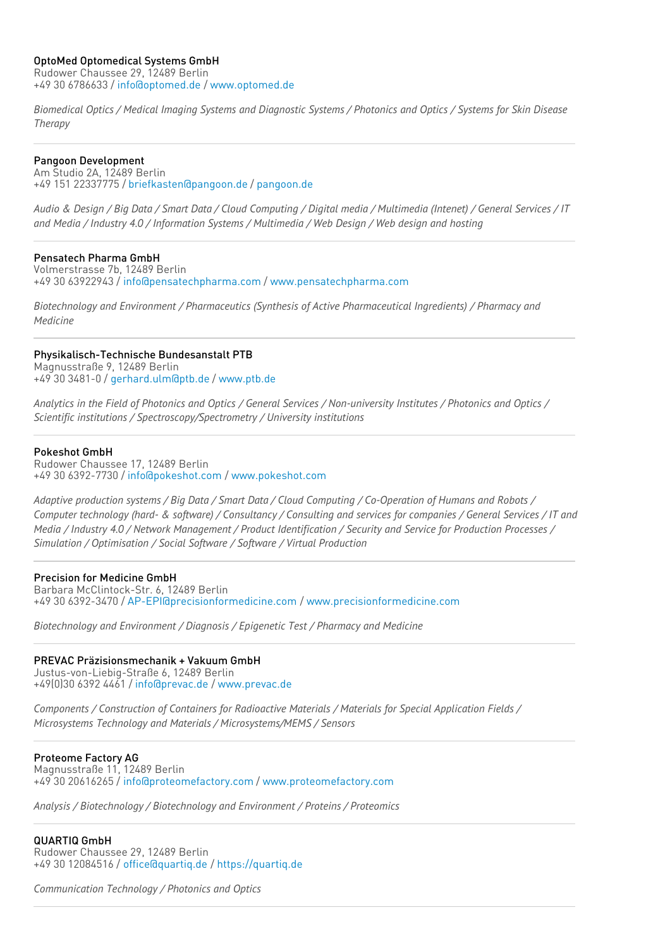## OptoMed Optomedical Systems GmbH

Rudower Chaussee 29, 12489 Berlin +49 30 6786633 / [info@optomed.de](mailto:info@optomed.de) / [www.optomed.de](http://www.optomed.de)

Biomedical Optics / Medical Imaging Systems and Diagnostic Systems / Photonics and Optics / Systems for Skin Disease *Therapy*

## Pangoon Development

Am Studio 2A, 12489 Berlin +49 151 22337775 / [briefkasten@pangoon.de](mailto:briefkasten@pangoon.de) / [pangoon.de](http://pangoon.de)

Audio & Design / Big Data / Smart Data / Cloud Computing / Digital media / Multimedia (Intenet) / General Services / IT *and Media / Industry 4.0 / Information Systems / Multimedia / Web Design / Web design and hosting*

## Pensatech Pharma GmbH

Volmerstrasse 7b, 12489 Berlin +49 30 63922943 / [info@pensatechpharma.com](mailto:info@pensatechpharma.com) / [www.pensatechpharma.com](http://www.pensatechpharma.com)

*Biotechnology and Environment / Pharmaceutics (Synthesis of Active Pharmaceutical Ingredients) / Pharmacy and Medicine*

## Physikalisch-Technische Bundesanstalt PTB

Magnusstraße 9, 12489 Berlin +49 30 3481-0 / [gerhard.ulm@ptb.de](mailto:gerhard.ulm@ptb.de) / [www.ptb.de](http://www.ptb.de)

Analytics in the Field of Photonics and Optics / General Services / Non-university Institutes / Photonics and Optics / *Scientific institutions / Spectroscopy/Spectrometry / University institutions*

#### Pokeshot GmbH

Rudower Chaussee 17, 12489 Berlin +49 30 6392-7730 / [info@pokeshot.com](mailto:info@pokeshot.com) / [www.pokeshot.com](http://www.pokeshot.com)

Adaptive production systems / Big Data / Smart Data / Cloud Computing / Co-Operation of Humans and Robots / Computer technology (hard- & software) / Consultancy / Consulting and services for companies / General Services / IT and Media / Industry 4.0 / Network Management / Product Identification / Security and Service for Production Processes / *Simulation / Optimisation / Social Software / Software / Virtual Production*

## Precision for Medicine GmbH

Barbara McClintock-Str. 6, 12489 Berlin +49 30 6392-3470 / [AP-EPI@precisionformedicine.com](mailto:AP-EPI@precisionformedicine.com) / [www.precisionformedicine.com](http://www.precisionformedicine.com)

*Biotechnology and Environment / Diagnosis / Epigenetic Test / Pharmacy and Medicine*

## PREVAC Präzisionsmechanik + Vakuum GmbH

Justus-von-Liebig-Straße 6, 12489 Berlin +49(0)30 6392 4461 / [info@prevac.de](mailto:info@prevac.de) / [www.prevac.de](http://www.prevac.de)

*Components / Construction of Containers for Radioactive Materials / Materials for Special Application Fields / Microsystems Technology and Materials / Microsystems/MEMS / Sensors*

## Proteome Factory AG

Magnusstraße 11, 12489 Berlin +49 30 20616265 / [info@proteomefactory.com](mailto:info@proteomefactory.com) / [www.proteomefactory.com](http://www.proteomefactory.com)

*Analysis / Biotechnology / Biotechnology and Environment / Proteins / Proteomics*

## QUARTIQ GmbH

Rudower Chaussee 29, 12489 Berlin +49 30 12084516 / [office@quartiq.de](mailto:office@quartiq.de) / [https://quartiq.de](http://https//quartiq.de)

*Communication Technology / Photonics and Optics*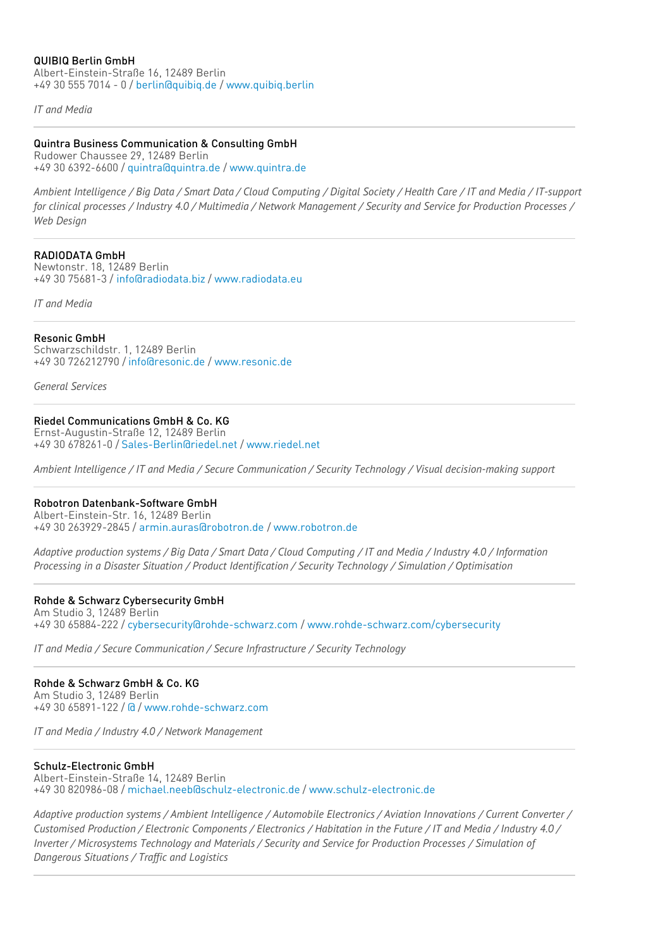## QUIBIQ Berlin GmbH

Albert-Einstein-Straße 16, 12489 Berlin +49 30 555 7014 - 0 / [berlin@quibiq.de](mailto:berlin@quibiq.de) / [www.quibiq.berlin](http://www.quibiq.berlin)

*IT and Media*

## Quintra Business Communication & Consulting GmbH

Rudower Chaussee 29, 12489 Berlin +49 30 6392-6600 / [quintra@quintra.de](mailto:quintra@quintra.de) / [www.quintra.de](http://www.quintra.de)

Ambient Intelligence / Big Data / Smart Data / Cloud Computing / Digital Society / Health Care / IT and Media / IT-support for clinical processes / Industry 4.0 / Multimedia / Network Management / Security and Service for Production Processes / *Web Design*

## RADIODATA GmbH

Newtonstr. 18, 12489 Berlin +49 30 75681-3 / [info@radiodata.biz](mailto:info@radiodata.biz) / [www.radiodata.eu](http://www.radiodata.eu)

*IT and Media*

## Resonic GmbH

Schwarzschildstr. 1, 12489 Berlin +49 30 726212790 / [info@resonic.de](mailto:info@resonic.de) / [www.resonic.de](http://www.resonic.de)

*General Services*

## Riedel Communications GmbH & Co. KG

Ernst-Augustin-Straße 12, 12489 Berlin +49 30 678261-0 / [Sales-Berlin@riedel.net](mailto:Sales-Berlin@riedel.net) / [www.riedel.net](http://www.riedel.net)

Ambient Intelligence / IT and Media / Secure Communication / Security Technology / Visual decision-making support

## Robotron Datenbank-Software GmbH

Albert-Einstein-Str. 16, 12489 Berlin +49 30 263929-2845 / [armin.auras@robotron.de](mailto:armin.auras@robotron.de) / [www.robotron.de](http://www.robotron.de)

Adaptive production systems / Big Data / Smart Data / Cloud Computing / IT and Media / Industry 4.0 / Information *Processing in a Disaster Situation / Product Identification / Security Technology / Simulation / Optimisation*

## Rohde & Schwarz Cybersecurity GmbH

Am Studio 3, 12489 Berlin +49 30 65884-222 / [cybersecurity@rohde-schwarz.com](mailto:cybersecurity@rohde-schwarz.com) / [www.rohde-schwarz.com/cybersecurity](http://www.rohde-schwarz.com/cybersecurity)

*IT and Media / Secure Communication / Secure Infrastructure / Security Technology*

# Rohde & Schwarz GmbH & Co. KG

Am Studio 3, 12489 Berlin +49 30 65891-122 / [@](mailto:@) / [www.rohde-schwarz.com](http://www.rohde-schwarz.com)

*IT and Media / Industry 4.0 / Network Management*

## Schulz-Electronic GmbH

Albert-Einstein-Straße 14, 12489 Berlin +49 30 820986-08 / [michael.neeb@schulz-electronic.de](mailto:michael.neeb@schulz-electronic.de) / [www.schulz-electronic.de](http://www.schulz-electronic.de)

Adaptive production systems / Ambient Intelligence / Automobile Electronics / Aviation Innovations / Current Converter / Customised Production / Electronic Components / Electronics / Habitation in the Future / IT and Media / Industry 4.0 / *Inverter / Microsystems Technology and Materials / Security and Service for Production Processes / Simulation of Dangerous Situations / Traffic and Logistics*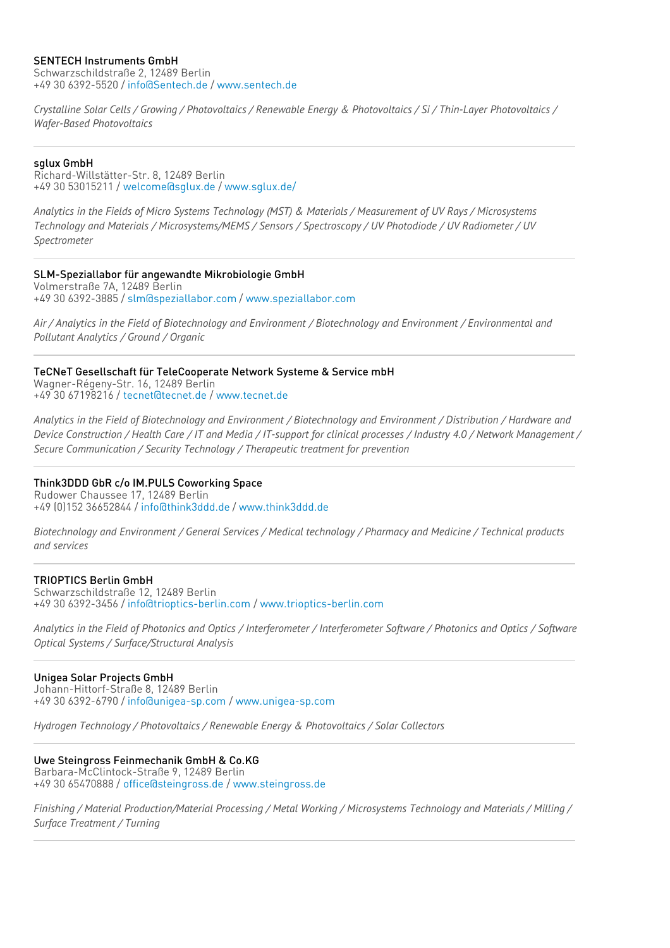## SENTECH Instruments GmbH

Schwarzschildstraße 2, 12489 Berlin +49 30 6392-5520 / [info@Sentech.de](mailto:info@Sentech.de) / [www.sentech.de](http://www.sentech.de)

Crystalline Solar Cells / Growing / Photovoltaics / Renewable Energy & Photovoltaics / Si / Thin-Layer Photovoltaics / *Wafer-Based Photovoltaics*

#### sglux GmbH

Richard-Willstätter-Str. 8, 12489 Berlin +49 30 53015211 / [welcome@sglux.de](mailto:welcome@sglux.de) / [www.sglux.de/](http://www.sglux.de/)

Analytics in the Fields of Micro Systems Technology (MST) & Materials / Measurement of UV Rays / Microsystems Technology and Materials / Microsystems/MEMS / Sensors / Spectroscopy / UV Photodiode / UV Radiometer / UV *Spectrometer*

#### SLM-Speziallabor für angewandte Mikrobiologie GmbH

Volmerstraße 7A, 12489 Berlin +49 30 6392-3885 / [slm@speziallabor.com](mailto:slm@speziallabor.com) / [www.speziallabor.com](http://www.speziallabor.com)

Air / Analytics in the Field of Biotechnology and Environment / Biotechnology and Environment / Environmental and *Pollutant Analytics / Ground / Organic*

#### TeCNeT Gesellschaft für TeleCooperate Network Systeme & Service mbH Wagner-Régeny-Str. 16, 12489 Berlin

+49 30 67198216 / [tecnet@tecnet.de](mailto:tecnet@tecnet.de) / [www.tecnet.de](http://www.tecnet.de)

Analytics in the Field of Biotechnology and Environment / Biotechnology and Environment / Distribution / Hardware and Device Construction / Health Care / IT and Media / IT-support for clinical processes / Industry 4.0 / Network Management / *Secure Communication / Security Technology / Therapeutic treatment for prevention*

## Think3DDD GbR c/o IM.PULS Coworking Space

Rudower Chaussee 17, 12489 Berlin +49 (0)152 36652844 / [info@think3ddd.de](mailto:info@think3ddd.de) / [www.think3ddd.de](http://www.think3ddd.de)

Biotechnology and Environment / General Services / Medical technology / Pharmacy and Medicine / Technical products *and services*

#### TRIOPTICS Berlin GmbH

Schwarzschildstraße 12, 12489 Berlin +49 30 6392-3456 / [info@trioptics-berlin.com](mailto:info@trioptics-berlin.com) / [www.trioptics-berlin.com](http://www.trioptics-berlin.com)

Analytics in the Field of Photonics and Optics / Interferometer / Interferometer Software / Photonics and Optics / Software *Optical Systems / Surface/Structural Analysis*

## Unigea Solar Projects GmbH

Johann-Hittorf-Straße 8, 12489 Berlin +49 30 6392-6790 / [info@unigea-sp.com](mailto:info@unigea-sp.com) / [www.unigea-sp.com](http://www.unigea-sp.com)

*Hydrogen Technology / Photovoltaics / Renewable Energy & Photovoltaics / Solar Collectors*

## Uwe Steingross Feinmechanik GmbH & Co.KG

Barbara-McClintock-Straße 9, 12489 Berlin +49 30 65470888 / [office@steingross.de](mailto:office@steingross.de) / [www.steingross.de](http://www.steingross.de)

Finishing / Material Production/Material Processing / Metal Working / Microsystems Technology and Materials / Milling / *Surface Treatment / Turning*